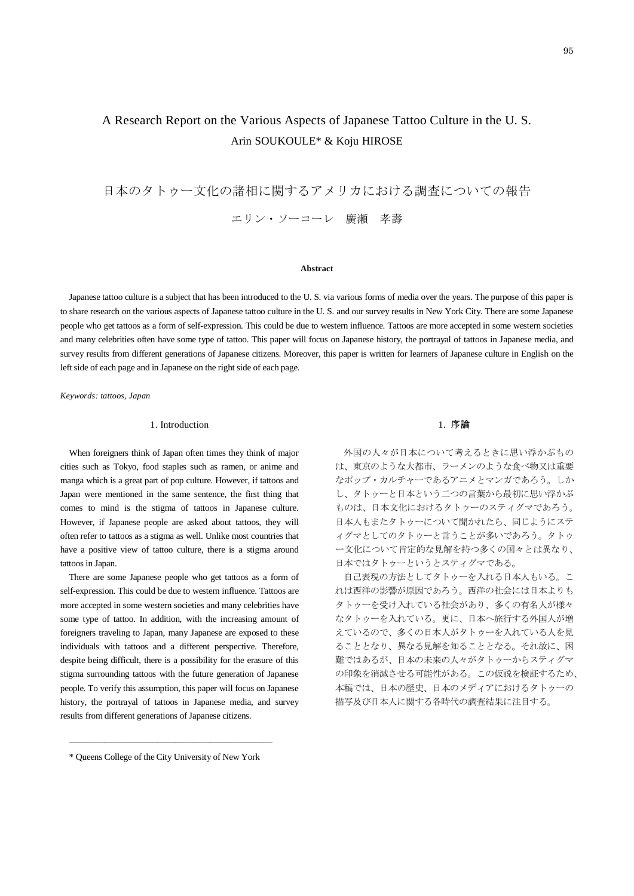# A Research Report on the Various Aspects of Japanese Tattoo Culture in the U. S. Arin SOUKOULE\* & Koju HIROSE

日本のタトゥー文化の諸相に関するアメリカにおける調査についての報告

エリン・ソーコーレ 廣瀬 孝壽

#### **Abstract**

Japanese tattoo culture is a subject that has been introduced to the U. S. via various forms of media over the years. The purpose of this paper is to share research on the various aspects of Japanese tattoo culture in the U. S. and our survey results in New York City. There are some Japanese people who get tattoos as a form of self-expression. This could be due to western influence. Tattoos are more accepted in some western societies and many celebrities often have some type of tattoo. This paper will focus on Japanese history, the portrayal of tattoos in Japanese media, and survey results from different generations of Japanese citizens. Moreover, this paper is written for learners of Japanese culture in English on the left side of each page and in Japanese on the right side of each page.

*Keywords: tattoos, Japan*

### 1. Introduction

When foreigners think of Japan often times they think of major cities such as Tokyo, food staples such as ramen, or anime and manga which is a great part of pop culture. However, if tattoos and Japan were mentioned in the same sentence, the first thing that comes to mind is the stigma of tattoos in Japanese culture. However, if Japanese people are asked about tattoos, they will often refer to tattoos as a stigma as well. Unlike most countries that have a positive view of tattoo culture, there is a stigma around tattoos in Japan.

There are some Japanese people who get tattoos as a form of self-expression. This could be due to western influence. Tattoos are more accepted in some western societies and many celebrities have some type of tattoo. In addition, with the increasing amount of foreigners traveling to Japan, many Japanese are exposed to these individuals with tattoos and a different perspective. Therefore, despite being difficult, there is a possibility for the erasure of this stigma surrounding tattoos with the future generation of Japanese people. To verify this assumption, this paper will focus on Japanese history, the portrayal of tattoos in Japanese media, and survey results from different generations of Japanese citizens.

# 1. 序論

外国の人々が日本について考えるときに思い浮かぶもの は、東京のような大都市、ラーメンのような食べ物又は重要 なポップ・カルチャーであるアニメとマンガであろう。しか し、タトゥーと日本という二つの言葉から最初に思い浮かぶ ものは、日本文化におけるタトゥーのスティグマであろう。 日本人もまたタトゥーについて聞かれたら、同じようにステ ィグマとしてのタトゥーと言うことが多いであろう。タトゥ ー文化について肯定的な見解を持つ多くの国々とは異なり、 日本ではタトゥーというとスティグマである。

自己表現の方法としてタトゥーを入れる日本人もいる。こ れは西洋の影響が原因であろう。西洋の社会には日本よりも タトゥーを受け入れている社会があり、多くの有名人が様々 なタトゥーを入れている。更に、日本へ旅行する外国人が増 えているので、多くの日本人がタトゥーを入れている人を見 ることとなり、異なる見解を知ることとなる。それ故に、困 難ではあるが、日本の未来の人々がタトゥーからスティグマ の印象を消滅させる可能性がある。この仮説を検証するため、 本稿では、日本の歴史、日本のメディアにおけるタトゥーの 描写及び日本人に関する各時代の調査結果に注目する。

<sup>―――――――――――――――――――――――</sup> \* Queens College of the City University of New York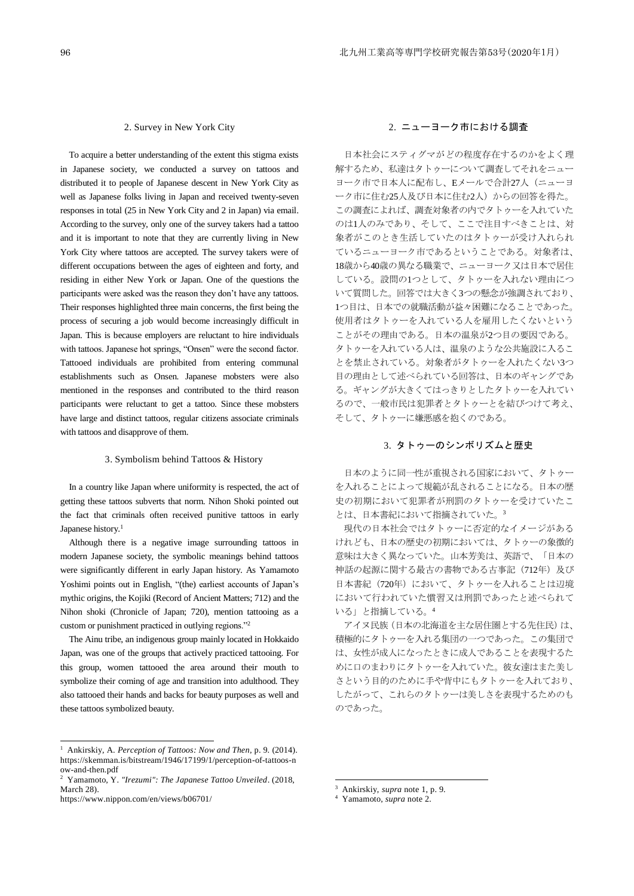#### 2. Survey in New York City

To acquire a better understanding of the extent this stigma exists in Japanese society, we conducted a survey on tattoos and distributed it to people of Japanese descent in New York City as well as Japanese folks living in Japan and received twenty-seven responses in total (25 in New York City and 2 in Japan) via email. According to the survey, only one of the survey takers had a tattoo and it is important to note that they are currently living in New York City where tattoos are accepted. The survey takers were of different occupations between the ages of eighteen and forty, and residing in either New York or Japan. One of the questions the participants were asked was the reason they don't have any tattoos. Their responses highlighted three main concerns, the first being the process of securing a job would become increasingly difficult in Japan. This is because employers are reluctant to hire individuals with tattoos. Japanese hot springs, "Onsen" were the second factor. Tattooed individuals are prohibited from entering communal establishments such as Onsen. Japanese mobsters were also mentioned in the responses and contributed to the third reason participants were reluctant to get a tattoo. Since these mobsters have large and distinct tattoos, regular citizens associate criminals with tattoos and disapprove of them.

## 3. Symbolism behind Tattoos & History

In a country like Japan where uniformity is respected, the act of getting these tattoos subverts that norm. Nihon Shoki pointed out the fact that criminals often received punitive tattoos in early Japanese history.<sup>1</sup>

Although there is a negative image surrounding tattoos in modern Japanese society, the symbolic meanings behind tattoos were significantly different in early Japan history. As Yamamoto Yoshimi points out in English, "(the) earliest accounts of Japan's mythic origins, the Kojiki (Record of Ancient Matters; 712) and the Nihon shoki (Chronicle of Japan; 720), mention tattooing as a custom or punishment practiced in outlying regions."<sup>2</sup>

The Ainu tribe, an indigenous group mainly located in Hokkaido Japan, was one of the groups that actively practiced tattooing. For this group, women tattooed the area around their mouth to symbolize their coming of age and transition into adulthood. They also tattooed their hands and backs for beauty purposes as well and these tattoos symbolized beauty.

1

## 2. ニューヨーク市における調査

日本社会にスティグマがどの程度存在するのかをよく理 解するため、私達はタトゥーについて調査してそれをニュー ヨーク市で日本人に配布し、Eメールで合計27人(ニューヨ ーク市に住む25人及び日本に住む2人)からの回答を得た。 この調査によれば、調査対象者の内でタトゥーを入れていた のは1人のみであり、そして、ここで注目すべきことは、対 象者がこのとき生活していたのはタトゥーが受け入れられ ているニューヨーク市であるということである。対象者は、 18歳から40歳の異なる職業で、ニューヨーク又は日本で居住 している。設問の1つとして、タトゥーを入れない理由につ いて質問した。回答では大きく3つの懸念が強調されており、 1つ目は、日本での就職活動が益々困難になることであった。 使用者はタトゥーを入れている人を雇用したくないという ことがその理由である。日本の温泉が2つ目の要因である。 タトゥーを入れている人は、温泉のような公共施設に入るこ とを禁止されている。対象者がタトゥーを入れたくない3つ 目の理由として述べられている回答は、日本のギャングであ る。ギャングが大きくてはっきりとしたタトゥーを入れてい るので、一般市民は犯罪者とタトゥーとを結びつけて考え、 そして、タトゥーに嫌悪感を抱くのである。

# 3. タトゥーのシンボリズムと歴史

日本のように同一性が重視される国家において、タトゥー を入れることによって規範が乱されることになる。日本の歴 史の初期において犯罪者が刑罰のタトゥーを受けていたこ とは、日本書紀において指摘されていた。<sup>3</sup>

現代の日本社会ではタトゥーに否定的なイメージがある けれども、日本の歴史の初期においては、タトゥーの象徴的 意味は大きく異なっていた。山本芳美は、英語で、「日本の 神話の起源に関する最古の書物である古事記 (712年)及び 日本書紀 (720年)において、タトゥーを入れることは辺境 において行われていた慣習又は刑罰であったと述べられて いる」と指摘している。<sup>4</sup>

アイヌ民族(日本の北海道を主な居住圏とする先住民)は、 積極的にタトゥーを入れる集団の一つであった。この集団で は、女性が成人になったときに成人であることを表現するた めに口のまわりにタトゥーを入れていた。彼女達はまた美し さという目的のために手や背中にもタトゥーを入れており、 したがって、これらのタトゥーは美しさを表現するためのも のであった。

<sup>1</sup> Ankirskiy, A. *Perception of Tattoos: Now and Then*, p. 9. (2014). https://skemman.is/bitstream/1946/17199/1/perception-of-tattoos-n ow-and-then.pdf

<sup>2</sup> Yamamoto, Y. *"Irezumi": The Japanese Tattoo Unveiled*. (2018, March 28).

https://www.nippon.com/en/views/b06701/

<sup>3</sup> Ankirskiy, *supra* note 1, p. 9.

<sup>4</sup> Yamamoto, *supra* note 2.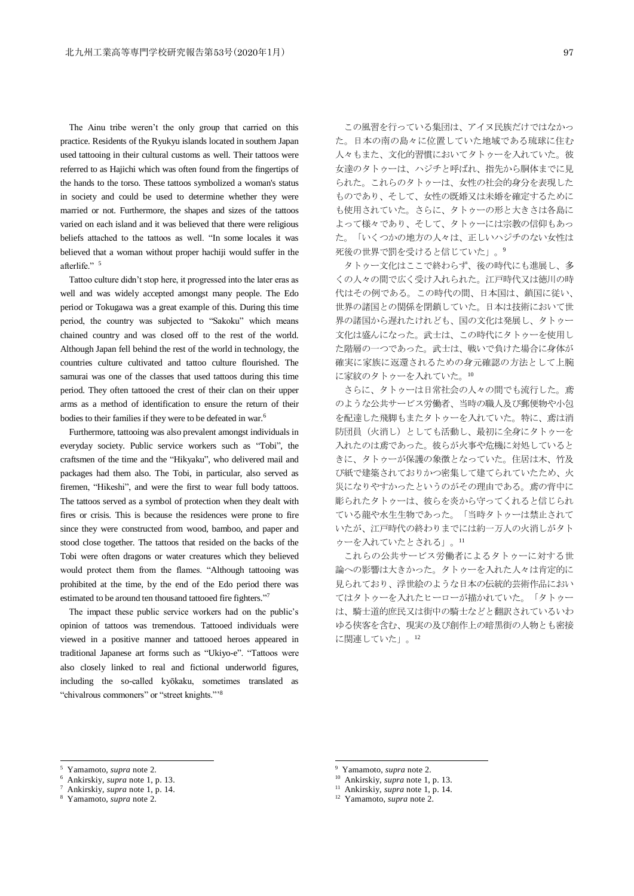The Ainu tribe weren't the only group that carried on this practice. Residents of the Ryukyu islands located in southern Japan used tattooing in their cultural customs as well. Their tattoos were referred to as Hajichi which was often found from the fingertips of the hands to the torso. These tattoos symbolized a woman's status in society and could be used to determine whether they were married or not. Furthermore, the shapes and sizes of the tattoos varied on each island and it was believed that there were religious beliefs attached to the tattoos as well. "In some locales it was believed that a woman without proper hachiji would suffer in the afterlife." 5

Tattoo culture didn't stop here, it progressed into the later eras as well and was widely accepted amongst many people. The Edo period or Tokugawa was a great example of this. During this time period, the country was subjected to "Sakoku" which means chained country and was closed off to the rest of the world. Although Japan fell behind the rest of the world in technology, the countries culture cultivated and tattoo culture flourished. The samurai was one of the classes that used tattoos during this time period. They often tattooed the crest of their clan on their upper arms as a method of identification to ensure the return of their bodies to their families if they were to be defeated in war.<sup>6</sup>

Furthermore, tattooing was also prevalent amongst individuals in everyday society. Public service workers such as "Tobi", the craftsmen of the time and the "Hikyaku", who delivered mail and packages had them also. The Tobi, in particular, also served as firemen, "Hikeshi", and were the first to wear full body tattoos. The tattoos served as a symbol of protection when they dealt with fires or crisis. This is because the residences were prone to fire since they were constructed from wood, bamboo, and paper and stood close together. The tattoos that resided on the backs of the Tobi were often dragons or water creatures which they believed would protect them from the flames. "Although tattooing was prohibited at the time, by the end of the Edo period there was estimated to be around ten thousand tattooed fire fighters."7

The impact these public service workers had on the public's opinion of tattoos was tremendous. Tattooed individuals were viewed in a positive manner and tattooed heroes appeared in traditional Japanese art forms such as "Ukiyo-e". "Tattoos were also closely linked to real and fictional underworld figures, including the so-called kyōkaku, sometimes translated as "chivalrous commoners" or "street knights."<sup>8</sup>

この風習を行っている集団は、アイヌ民族だけではなかっ た。日本の南の島々に位置していた地域である琉球に住む 人々もまた、文化的習慣においてタトゥーを入れていた。彼 女達のタトゥーは、ハジチと呼ばれ、指先から胴体までに見 られた。これらのタトゥーは、女性の社会的身分を表現した ものであり、そして、女性の既婚又は未婚を確定するために も使用されていた。さらに、タトゥーの形と大きさは各島に よって様々であり、そして、タトゥーには宗教の信仰もあっ た。「いくつかの地方の人々は、正しいハジチのない女性は 死後の世界で罰を受けると信じていた」。<sup>9</sup>

タトゥー文化はここで終わらず、後の時代にも進展し、多 くの人々の間で広く受け入れられた。江戸時代又は徳川の時 代はその例である。この時代の間、日本国は、鎖国に従い、 世界の諸国との関係を閉鎖していた。日本は技術において世 界の諸国から遅れたけれども、国の文化は発展し、タトゥー 文化は盛んになった。武士は、この時代にタトゥーを使用し た階層の一つであった。武士は、戦いで負けた場合に身体が 確実に家族に返還されるための身元確認の方法として上腕 に家紋のタトゥーを入れていた。10

さらに、タトゥーは日常社会の人々の間でも流行した。鳶 のような公共サービス労働者、当時の職人及び郵便物や小包 を配達した飛脚もまたタトゥーを入れていた。特に、鳶は消 防団員(火消し)としても活動し、最初に全身にタトゥーを 入れたのは鳶であった。彼らが火事や危機に対処していると きに、タトゥーが保護の象徴となっていた。住居は木、竹及 び紙で建築されておりかつ密集して建てられていたため、火 災になりやすかったというのがその理由である。鳶の背中に 彫られたタトゥーは、彼らを炎から守ってくれると信じられ ている龍や水生生物であった。「当時タトゥーは禁止されて いたが、江戸時代の終わりまでには約一万人の火消しがタト ゥーを入れていたとされる」。<sup>11</sup>

これらの公共サービス労働者によるタトゥーに対する世 論への影響は大きかった。タトゥーを入れた人々は肯定的に 見られており、浮世絵のような日本の伝統的芸術作品におい てはタトゥーを入れたヒーローが描かれていた。「タトゥー は、騎士道的庶民又は街中の騎士などと翻訳されているいわ ゆる侠客を含む、現実の及び創作上の暗黒街の人物とも密接 に関連していた」。<sup>12</sup>

1

<sup>5</sup> Yamamoto, *supra* note 2.

<sup>6</sup> Ankirskiy, *supra* note 1, p. 13.

<sup>7</sup> Ankirskiy, *supra* note 1, p. 14.

<sup>8</sup> Yamamoto, *supra* note 2.

<sup>9</sup> Yamamoto, *supra* note 2.

<sup>&</sup>lt;sup>10</sup> Ankirskiy, *supra* note 1, p. 13.

Ankirskiy, *supra* note 1, p. 14.

<sup>12</sup> Yamamoto, *supra* note 2.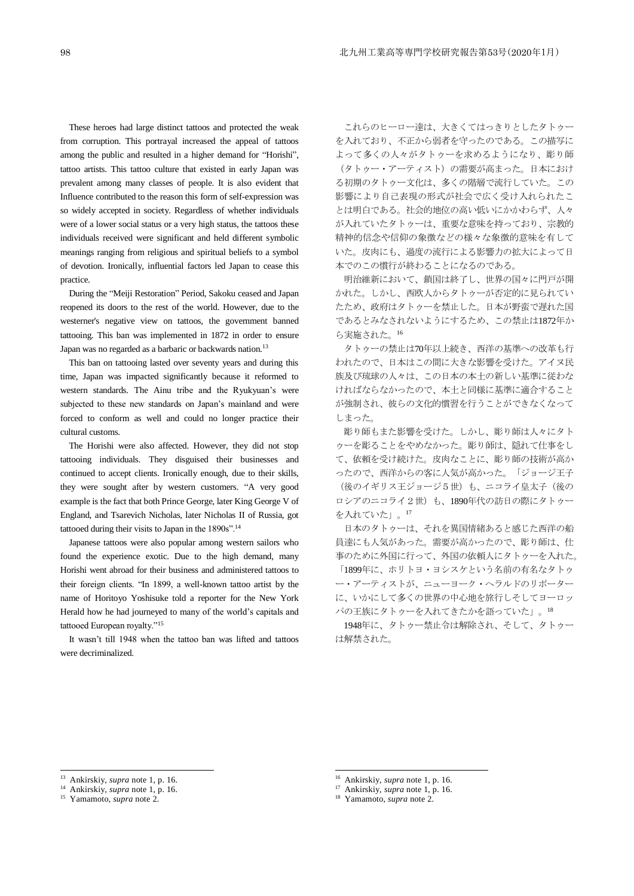These heroes had large distinct tattoos and protected the weak from corruption. This portrayal increased the appeal of tattoos among the public and resulted in a higher demand for "Horishi", tattoo artists. This tattoo culture that existed in early Japan was prevalent among many classes of people. It is also evident that Influence contributed to the reason this form of self-expression was so widely accepted in society. Regardless of whether individuals were of a lower social status or a very high status, the tattoos these individuals received were significant and held different symbolic meanings ranging from religious and spiritual beliefs to a symbol of devotion. Ironically, influential factors led Japan to cease this practice.

During the "Meiji Restoration" Period, Sakoku ceased and Japan reopened its doors to the rest of the world. However, due to the westerner's negative view on tattoos, the government banned tattooing. This ban was implemented in 1872 in order to ensure Japan was no regarded as a barbaric or backwards nation.<sup>13</sup>

This ban on tattooing lasted over seventy years and during this time, Japan was impacted significantly because it reformed to western standards. The Ainu tribe and the Ryukyuan's were subjected to these new standards on Japan's mainland and were forced to conform as well and could no longer practice their cultural customs.

The Horishi were also affected. However, they did not stop tattooing individuals. They disguised their businesses and continued to accept clients. Ironically enough, due to their skills, they were sought after by western customers. "A very good example is the fact that both Prince George, later King George V of England, and Tsarevich Nicholas, later Nicholas II of Russia, got tattooed during their visits to Japan in the 1890s".<sup>14</sup>

Japanese tattoos were also popular among western sailors who found the experience exotic. Due to the high demand, many Horishi went abroad for their business and administered tattoos to their foreign clients. "In 1899, a well-known tattoo artist by the name of Horitoyo Yoshisuke told a reporter for the New York Herald how he had journeyed to many of the world's capitals and tattooed European royalty."<sup>15</sup>

It wasn't till 1948 when the tattoo ban was lifted and tattoos were decriminalized.

これらのヒーロー達は、大きくてはっきりとしたタトゥー を入れており、不正から弱者を守ったのである。この描写に よって多くの人々がタトゥーを求めるようになり、彫り師 (タトゥー・アーティスト)の需要が高まった。日本におけ る初期のタトゥー文化は、多くの階層で流行していた。この 影響により自己表現の形式が社会で広く受け入れられたこ とは明白である。社会的地位の高い低いにかかわらず、人々 が入れていたタトゥーは、重要な意味を持っており、宗教的 精神的信念や信仰の象徴などの様々な象徴的意味を有して いた。皮肉にも、過度の流行による影響力の拡大によって日 本でのこの慣行が終わることになるのである。

明治維新において、鎖国は終了し、世界の国々に門戸が開 かれた。しかし、西欧人からタトゥーが否定的に見られてい たため、政府はタトゥーを禁止した。日本が野蛮で遅れた国 であるとみなされないようにするため、この禁止は1872年か ら実施された。<sup>16</sup>

タトゥーの禁止は70年以上続き、西洋の基準への改革も行 われたので、日本はこの間に大きな影響を受けた。アイヌ民 族及び琉球の人々は、この日本の本土の新しい基準に従わな ければならなかったので、本土と同様に基準に適合すること が強制され、彼らの文化的慣習を行うことができなくなって しまった。

彫り師もまた影響を受けた。しかし、彫り師は人々にタト ゥーを彫ることをやめなかった。彫り師は、隠れて仕事をし て、依頼を受け続けた。皮肉なことに、彫り師の技術が高か ったので、西洋からの客に人気が高かった。「ジョージ王子 (後のイギリス王ジョージ5世)も、ニコライ皇太子(後の ロシアのニコライ2世)も、1890年代の訪日の際にタトゥー を入れていた」。17

日本のタトゥーは、それを異国情緒あると感じた西洋の船 員達にも人気があった。需要が高かったので、彫り師は、仕 事のために外国に行って、外国の依頼人にタトゥーを入れた。 「1899年に、ホリトヨ・ヨシスケという名前の有名なタトゥ ー・アーティストが、ニューヨーク・ヘラルドのリポーター に、いかにして多くの世界の中心地を旅行しそしてヨーロッ パの王族にタトゥーを入れてきたかを語っていた」。<sup>18</sup>

1948年に、タトゥー禁止令は解除され、そして、タトゥー は解禁された。

1

<sup>13</sup> Ankirskiy, *supra* note 1, p. 16.

Ankirskiy, *supra* note 1, p. 16.

<sup>15</sup> Yamamoto, *supra* note 2.

<sup>&</sup>lt;sup>16</sup> Ankirskiy, *supra* note 1, p. 16.

Ankirskiy, *supra* note 1, p. 16.

<sup>18</sup> Yamamoto, *supra* note 2.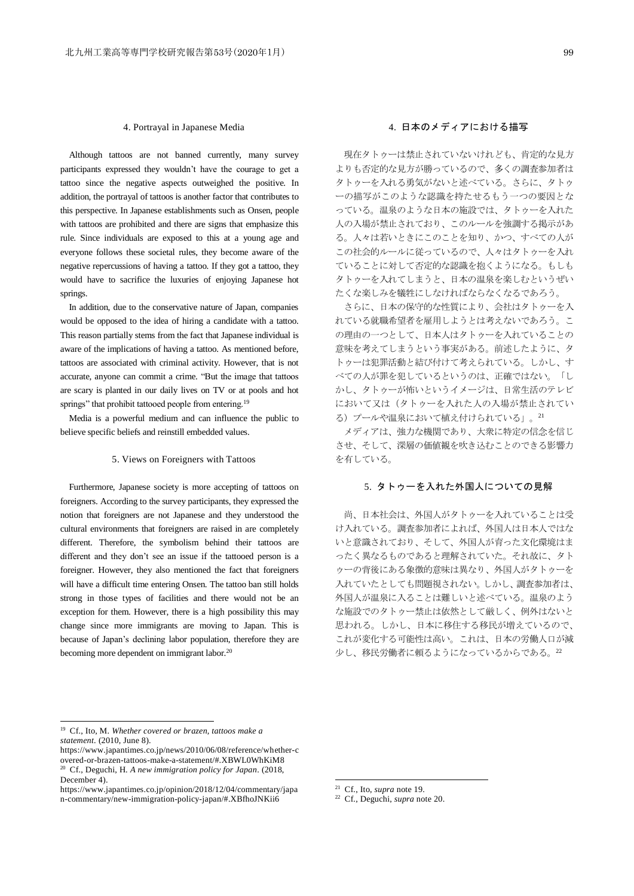#### 4. Portrayal in Japanese Media

Although tattoos are not banned currently, many survey participants expressed they wouldn't have the courage to get a tattoo since the negative aspects outweighed the positive. In addition, the portrayal of tattoos is another factor that contributes to this perspective. In Japanese establishments such as Onsen, people with tattoos are prohibited and there are signs that emphasize this rule. Since individuals are exposed to this at a young age and everyone follows these societal rules, they become aware of the negative repercussions of having a tattoo. If they got a tattoo, they would have to sacrifice the luxuries of enjoying Japanese hot springs.

In addition, due to the conservative nature of Japan, companies would be opposed to the idea of hiring a candidate with a tattoo. This reason partially stems from the fact that Japanese individual is aware of the implications of having a tattoo. As mentioned before, tattoos are associated with criminal activity. However, that is not accurate, anyone can commit a crime. "But the image that tattoos are scary is planted in our daily lives on TV or at pools and hot springs" that prohibit tattooed people from entering.<sup>19</sup>

Media is a powerful medium and can influence the public to believe specific beliefs and reinstill embedded values.

## 5. Views on Foreigners with Tattoos

Furthermore, Japanese society is more accepting of tattoos on foreigners. According to the survey participants, they expressed the notion that foreigners are not Japanese and they understood the cultural environments that foreigners are raised in are completely different. Therefore, the symbolism behind their tattoos are different and they don't see an issue if the tattooed person is a foreigner. However, they also mentioned the fact that foreigners will have a difficult time entering Onsen. The tattoo ban still holds strong in those types of facilities and there would not be an exception for them. However, there is a high possibility this may change since more immigrants are moving to Japan. This is because of Japan's declining labor population, therefore they are becoming more dependent on immigrant labor.<sup>20</sup>

# 4. 日本のメディアにおける描写

現在タトゥーは禁止されていないけれども、肯定的な見方 よりも否定的な見方が勝っているので、多くの調査参加者は タトゥーを入れる勇気がないと述べている。さらに、タトゥ ーの描写がこのような認識を持たせるもう一つの要因とな っている。温泉のような日本の施設では、タトゥーを入れた 人の入場が禁止されており、このルールを強調する掲示があ る。人々は若いときにこのことを知り、かつ、すべての人が この社会的ルールに従っているので、人々はタトゥーを入れ ていることに対して否定的な認識を抱くようになる。もしも タトゥーを入れてしまうと、日本の温泉を楽しむというぜい たくな楽しみを犠牲にしなければならなくなるであろう。

さらに、日本の保守的な性質により、会社はタトゥーを入 れている就職希望者を雇用しようとは考えないであろう。こ の理由の一つとして、日本人はタトゥーを入れていることの 意味を考えてしまうという事実がある。前述したように、タ トゥーは犯罪活動と結び付けて考えられている。しかし、す べての人が罪を犯しているというのは、正確ではない。「し かし、タトゥーが怖いというイメージは、日常生活のテレビ において又は(タトゥーを入れた人の入場が禁止されてい る)プールや温泉において植え付けられている」。21

メディアは、強力な機関であり、大衆に特定の信念を信じ させ、そして、深層の価値観を吹き込むことのできる影響力 を有している。

# 5. タトゥーを入れた外国人についての見解

尚、日本社会は、外国人がタトゥーを入れていることは受 け入れている。調査参加者によれば、外国人は日本人ではな いと意識されており、そして、外国人が育った文化環境はま ったく異なるものであると理解されていた。それ故に、タト ゥーの背後にある象徴的意味は異なり、外国人がタトゥーを 入れていたとしても問題視されない。しかし、調査参加者は、 外国人が温泉に入ることは難しいと述べている。温泉のよう な施設でのタトゥー禁止は依然として厳しく、例外はないと 思われる。しかし、日本に移住する移民が増えているので、 これが変化する可能性は高い。これは、日本の労働人口が減 少し、移民労働者に頼るようになっているからである。<sup>22</sup>

1

<sup>21</sup> Cf., Ito, *supra* note 19.

<sup>19</sup> Cf., Ito, M. *Whether covered or brazen, tattoos make a statement*. (2010, June 8).

https://www.japantimes.co.jp/news/2010/06/08/reference/whether-c overed-or-brazen-tattoos-make-a-statement/#.XBWL0WhKiM8 <sup>20</sup> Cf., Deguchi, H. *A new immigration policy for Japan*. (2018, December 4).

https://www.japantimes.co.jp/opinion/2018/12/04/commentary/japa n-commentary/new-immigration-policy-japan/#.XBfhoJNKii6

<sup>22</sup> Cf., Deguchi, *supra* note 20.